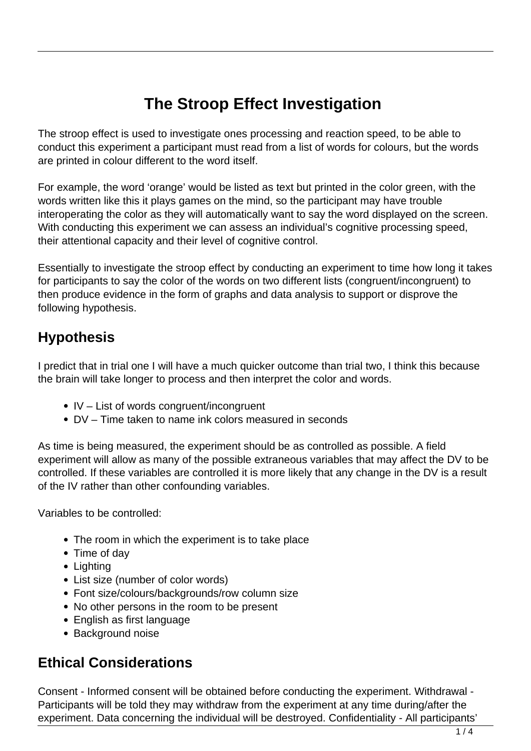# **The Stroop Effect Investigation**

The stroop effect is used to investigate ones processing and reaction speed, to be able to conduct this experiment a participant must read from a list of words for colours, but the words are printed in colour different to the word itself.

For example, the word 'orange' would be listed as text but printed in the color green, with the words written like this it plays games on the mind, so the participant may have trouble interoperating the color as they will automatically want to say the word displayed on the screen. With conducting this experiment we can assess an individual's cognitive processing speed, their attentional capacity and their level of cognitive control.

Essentially to investigate the stroop effect by conducting an experiment to time how long it takes for participants to say the color of the words on two different lists (congruent/incongruent) to then produce evidence in the form of graphs and data analysis to support or disprove the following hypothesis.

## **Hypothesis**

I predict that in trial one I will have a much quicker outcome than trial two, I think this because the brain will take longer to process and then interpret the color and words.

- IV List of words congruent/incongruent
- DV Time taken to name ink colors measured in seconds

As time is being measured, the experiment should be as controlled as possible. A field experiment will allow as many of the possible extraneous variables that may affect the DV to be controlled. If these variables are controlled it is more likely that any change in the DV is a result of the IV rather than other confounding variables.

Variables to be controlled:

- The room in which the experiment is to take place
- Time of day
- Lighting
- List size (number of color words)
- Font size/colours/backgrounds/row column size
- No other persons in the room to be present
- English as first language
- Background noise

## **Ethical Considerations**

Consent - Informed consent will be obtained before conducting the experiment. Withdrawal - Participants will be told they may withdraw from the experiment at any time during/after the experiment. Data concerning the individual will be destroyed. Confidentiality - All participants'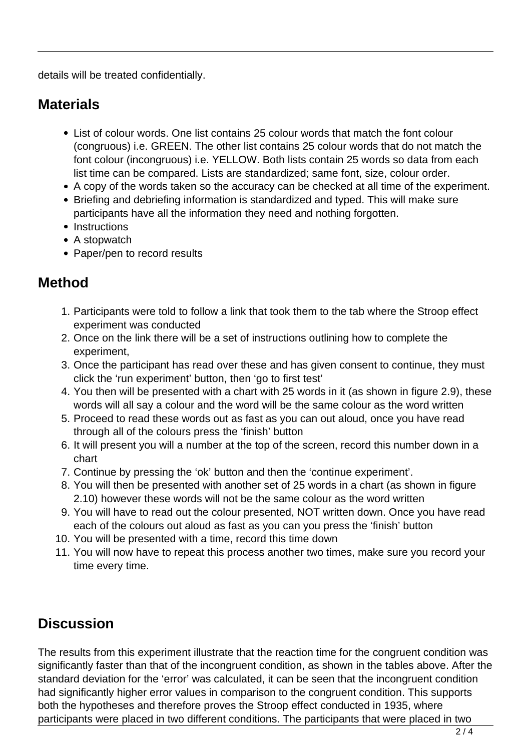details will be treated confidentially.

### **Materials**

- List of colour words. One list contains 25 colour words that match the font colour (congruous) i.e. GREEN. The other list contains 25 colour words that do not match the font colour (incongruous) i.e. YELLOW. Both lists contain 25 words so data from each list time can be compared. Lists are standardized; same font, size, colour order.
- A copy of the words taken so the accuracy can be checked at all time of the experiment.
- Briefing and debriefing information is standardized and typed. This will make sure participants have all the information they need and nothing forgotten.
- Instructions
- A stopwatch
- Paper/pen to record results

#### **Method**

- 1. Participants were told to follow a link that took them to the tab where the Stroop effect experiment was conducted
- 2. Once on the link there will be a set of instructions outlining how to complete the experiment,
- 3. Once the participant has read over these and has given consent to continue, they must click the 'run experiment' button, then 'go to first test'
- 4. You then will be presented with a chart with 25 words in it (as shown in figure 2.9), these words will all say a colour and the word will be the same colour as the word written
- 5. Proceed to read these words out as fast as you can out aloud, once you have read through all of the colours press the 'finish' button
- 6. It will present you will a number at the top of the screen, record this number down in a chart
- 7. Continue by pressing the 'ok' button and then the 'continue experiment'.
- 8. You will then be presented with another set of 25 words in a chart (as shown in figure 2.10) however these words will not be the same colour as the word written
- 9. You will have to read out the colour presented, NOT written down. Once you have read each of the colours out aloud as fast as you can you press the 'finish' button
- 10. You will be presented with a time, record this time down
- 11. You will now have to repeat this process another two times, make sure you record your time every time.

### **Discussion**

The results from this experiment illustrate that the reaction time for the congruent condition was significantly faster than that of the incongruent condition, as shown in the tables above. After the standard deviation for the 'error' was calculated, it can be seen that the incongruent condition had significantly higher error values in comparison to the congruent condition. This supports both the hypotheses and therefore proves the Stroop effect conducted in 1935, where participants were placed in two different conditions. The participants that were placed in two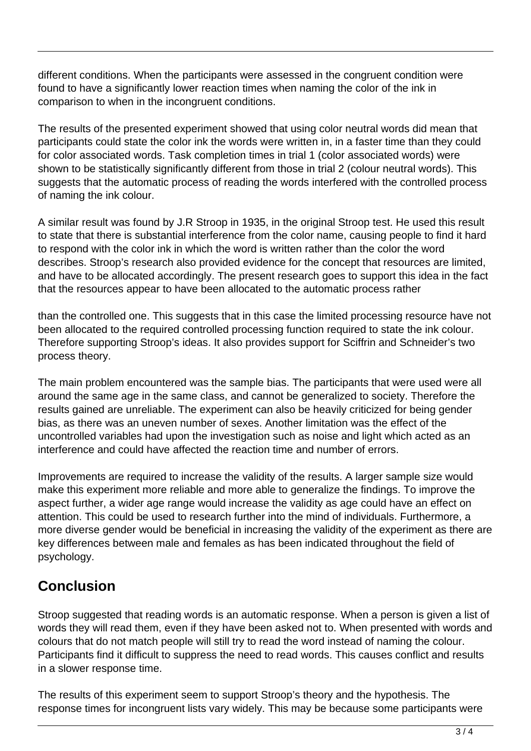different conditions. When the participants were assessed in the congruent condition were found to have a significantly lower reaction times when naming the color of the ink in comparison to when in the incongruent conditions.

The results of the presented experiment showed that using color neutral words did mean that participants could state the color ink the words were written in, in a faster time than they could for color associated words. Task completion times in trial 1 (color associated words) were shown to be statistically significantly different from those in trial 2 (colour neutral words). This suggests that the automatic process of reading the words interfered with the controlled process of naming the ink colour.

A similar result was found by J.R Stroop in 1935, in the original Stroop test. He used this result to state that there is substantial interference from the color name, causing people to find it hard to respond with the color ink in which the word is written rather than the color the word describes. Stroop's research also provided evidence for the concept that resources are limited, and have to be allocated accordingly. The present research goes to support this idea in the fact that the resources appear to have been allocated to the automatic process rather

than the controlled one. This suggests that in this case the limited processing resource have not been allocated to the required controlled processing function required to state the ink colour. Therefore supporting Stroop's ideas. It also provides support for Sciffrin and Schneider's two process theory.

The main problem encountered was the sample bias. The participants that were used were all around the same age in the same class, and cannot be generalized to society. Therefore the results gained are unreliable. The experiment can also be heavily criticized for being gender bias, as there was an uneven number of sexes. Another limitation was the effect of the uncontrolled variables had upon the investigation such as noise and light which acted as an interference and could have affected the reaction time and number of errors.

Improvements are required to increase the validity of the results. A larger sample size would make this experiment more reliable and more able to generalize the findings. To improve the aspect further, a wider age range would increase the validity as age could have an effect on attention. This could be used to research further into the mind of individuals. Furthermore, a more diverse gender would be beneficial in increasing the validity of the experiment as there are key differences between male and females as has been indicated throughout the field of psychology.

## **Conclusion**

Stroop suggested that reading words is an automatic response. When a person is given a list of words they will read them, even if they have been asked not to. When presented with words and colours that do not match people will still try to read the word instead of naming the colour. Participants find it difficult to suppress the need to read words. This causes conflict and results in a slower response time.

The results of this experiment seem to support Stroop's theory and the hypothesis. The response times for incongruent lists vary widely. This may be because some participants were